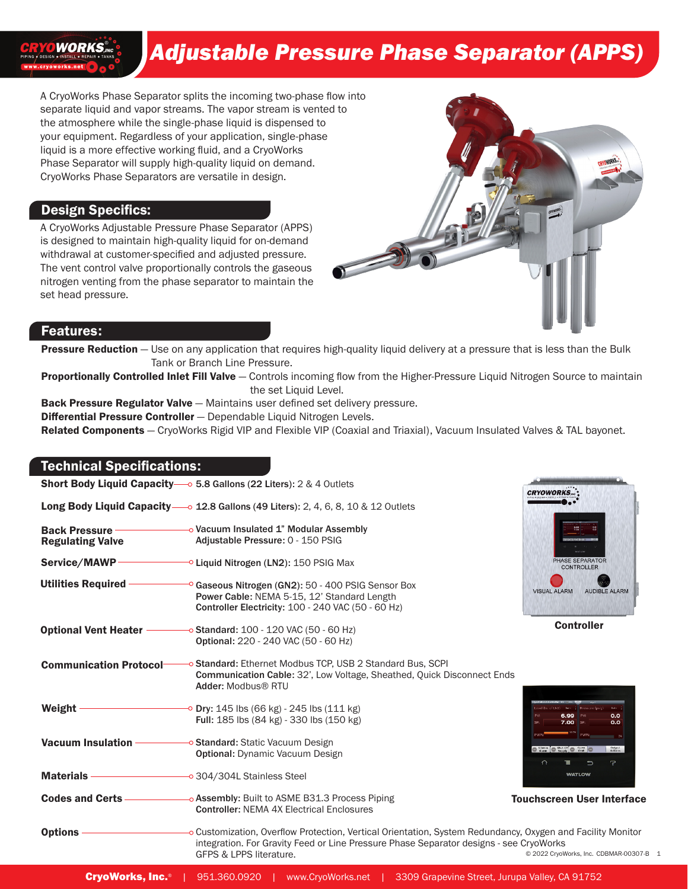# **WORKS**

## *Adjustable Pressure Phase Separator (APPS)*

A CryoWorks Phase Separator splits the incoming two-phase flow into separate liquid and vapor streams. The vapor stream is vented to the atmosphere while the single-phase liquid is dispensed to your equipment. Regardless of your application, single-phase liquid is a more effective working fluid, and a CryoWorks Phase Separator will supply high-quality liquid on demand. CryoWorks Phase Separators are versatile in design.

#### Design Specifics:

A CryoWorks Adjustable Pressure Phase Separator (APPS) is designed to maintain high-quality liquid for on-demand withdrawal at customer-specified and adjusted pressure. The vent control valve proportionally controls the gaseous nitrogen venting from the phase separator to maintain the set head pressure.



#### Features:

Pressure Reduction - Use on any application that requires high-quality liquid delivery at a pressure that is less than the Bulk Tank or Branch Line Pressure.

Proportionally Controlled Inlet Fill Valve - Controls incoming flow from the Higher-Pressure Liquid Nitrogen Source to maintain the set Liquid Level.

Back Pressure Regulator Valve - Maintains user defined set delivery pressure.

**Differential Pressure Controller** – Dependable Liquid Nitrogen Levels.

Related Components - CryoWorks Rigid VIP and Flexible VIP (Coaxial and Triaxial), Vacuum Insulated Valves & TAL bayonet.

#### Technical Specifications:

Short Body Liquid Capacity-0 5.8 Gallons (22 Liters): 2 & 4 Outlets

Long Body Liquid Capacity-0 12.8 Gallons (49 Liters): 2, 4, 6, 8, 10 & 12 Outlets

| <b>Back Pressure</b>    | -o Vacuum Insulated 1" Modular Assembly |
|-------------------------|-----------------------------------------|
| <b>Regulating Valve</b> | Adjustable Pressure: 0 - 150 PSIG       |

Service/MAWP Cliquid Nitrogen (LN2): 150 PSIG Max

<sup>o</sup> Gaseous Nitrogen (GN2): 50 - 400 PSIG Sensor Box Power Cable: NEMA 5-15, 12' Standard Length Controller Electricity: 100 - 240 VAC (50 - 60 Hz) Utilities Required -

 $\sim$  Standard: 100 - 120 VAC (50 - 60 Hz) Optional: 220 - 240 VAC (50 - 60 Hz) Optional Vent Heater

-o Standard: Ethernet Modbus TCP, USB 2 Standard Bus, SCPI Communication Cable: 32', Low Voltage, Sheathed, Quick Disconnect Ends Adder: Modbus® RTU Communication Protocol

- <sup>o</sup> Dry: 145 lbs (66 kg) 245 lbs (111 kg) Full: 185 lbs (84 kg) - 330 lbs (150 kg) Weight -
- **→ Standard:** Static Vacuum Design Optional: Dynamic Vacuum Design Vacuum Insulation

Materials --o 304/304L Stainless Steel

Codes and Certs o Assembly: Built to ASME B31.3 Process Piping Controller: NEMA 4X Electrical Enclosures



**Controller** 

| rya it who use Cartrallar - March 1980. |                    | $\frac{1}{2}$   |                          |
|-----------------------------------------|--------------------|-----------------|--------------------------|
| Level (In. of LN2)                      | <b>Burg</b>        | Pressure (psig) | <b>Ruto</b><br>- 1       |
| PV:                                     | 6.99               | PV:             | 0.0                      |
| SP:                                     | 7.00               | SP:             | 0.0                      |
| <b>PWR:</b>                             | 102%               | PWR:            | 0%                       |
| Silence<br><b>Alumn</b>                 | shut off<br>Supply | Open<br>Vont    | <b>Output</b><br>Actions |
|                                         | ਵ                  | ¬               | 7                        |

Touchscreen User Interface

© 2022 CryoWorks, Inc. CDBMAR-00307-B 1 **Options** o Customization, Overflow Protection, Vertical Orientation, System Redundancy, Oxygen and Facility Monitor integration. For Gravity Feed or Line Pressure Phase Separator designs - see CryoWorks GFPS & LPPS literature.